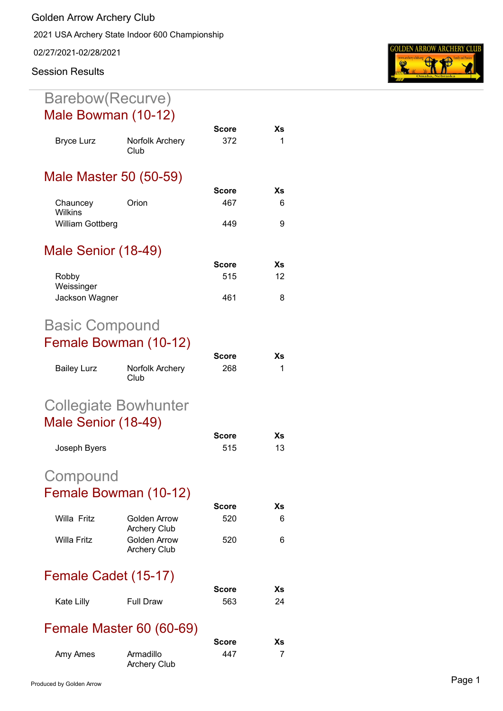2021 USA Archery State Indoor 600 Championship

02/27/2021-02/28/2021

## **Session Results**

## Barebow(Recurve) Male Bowman (10-12)

|                              |                                            | Score        | Хs |
|------------------------------|--------------------------------------------|--------------|----|
| <b>Bryce Lurz</b>            | Norfolk Archery<br>Club                    | 372          | 1  |
|                              | Male Master 50 (50-59)                     |              |    |
|                              |                                            | Score        | Хs |
| Chauncey<br><b>Wilkins</b>   | Orion                                      | 467          | 6  |
| William Gottberg             |                                            | 449          | 9  |
| Male Senior (18-49)          |                                            |              |    |
|                              |                                            | <b>Score</b> | Хs |
| Robby                        |                                            | 515          | 12 |
| Weissinger<br>Jackson Wagner |                                            | 461          | 8  |
| <b>Basic Compound</b>        |                                            |              |    |
|                              | Female Bowman (10-12)                      |              |    |
|                              |                                            | Score        | Хs |
| <b>Bailey Lurz</b>           | Norfolk Archery<br>Club                    | 268          | 1  |
|                              | <b>Collegiate Bowhunter</b>                |              |    |
| Male Senior (18-49)          |                                            |              |    |
|                              |                                            | Score        | Хs |
| Joseph Byers                 |                                            | 515          | 13 |
| Compound                     |                                            |              |    |
|                              | Female Bowman (10-12)                      |              |    |
|                              |                                            | Score        | Xs |
| Willa Fritz                  | Golden Arrow<br><b>Archery Club</b>        | 520          | 6  |
| <b>Willa Fritz</b>           | <b>Golden Arrow</b><br><b>Archery Club</b> | 520          | 6  |
| Female Cadet (15-17)         |                                            |              |    |
|                              |                                            | Score        | Хs |
| Kate Lilly                   | <b>Full Draw</b>                           | 563          | 24 |
|                              | <b>Female Master 60 (60-69)</b>            |              |    |
|                              |                                            | Score        | Хs |
| Amy Ames                     | Armadillo                                  | 447          | 7  |

Archery Club